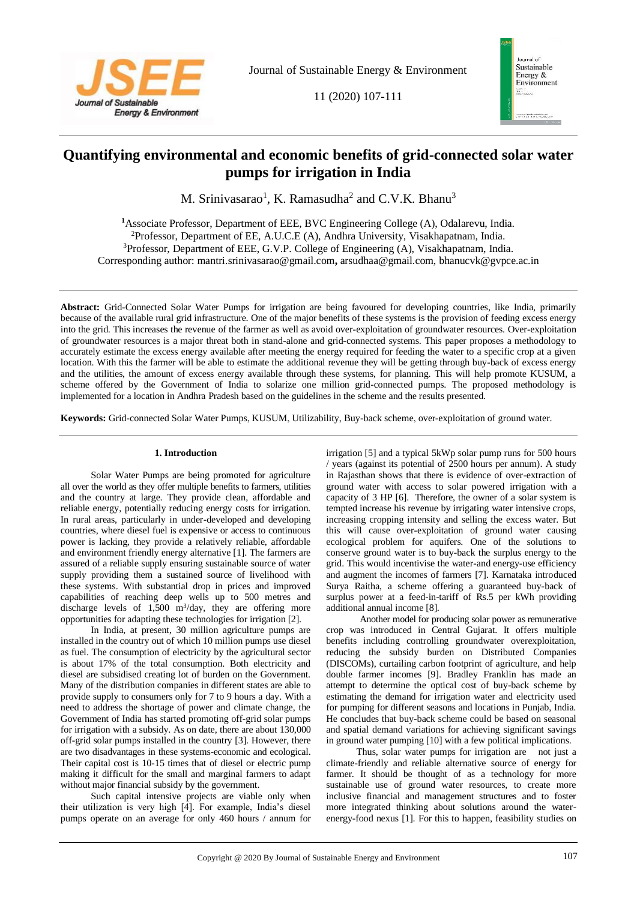

11 (2020) 107-111



# **Quantifying environmental and economic benefits of grid-connected solar water pumps for irrigation in India**

M. Srinivasarao<sup>1</sup>, K. Ramasudha<sup>2</sup> and C.V.K. Bhanu<sup>3</sup>

Associate Professor, Department of EEE, BVC Engineering College (A), Odalarevu, India. Professor, Department of EE, A.U.C.E (A), Andhra University, Visakhapatnam, India. Professor, Department of EEE, G.V.P. College of Engineering (A), Visakhapatnam, India. Corresponding author: mantri.srinivasarao@gmail.com**,** arsudhaa@gmail.com, bhanucvk@gvpce.ac.in

**Abstract:** Grid-Connected Solar Water Pumps for irrigation are being favoured for developing countries, like India, primarily because of the available rural grid infrastructure. One of the major benefits of these systems is the provision of feeding excess energy into the grid. This increases the revenue of the farmer as well as avoid over-exploitation of groundwater resources. Over-exploitation of groundwater resources is a major threat both in stand-alone and grid-connected systems. This paper proposes a methodology to accurately estimate the excess energy available after meeting the energy required for feeding the water to a specific crop at a given location. With this the farmer will be able to estimate the additional revenue they will be getting through buy-back of excess energy and the utilities, the amount of excess energy available through these systems, for planning. This will help promote KUSUM, a scheme offered by the Government of India to solarize one million grid-connected pumps. The proposed methodology is implemented for a location in Andhra Pradesh based on the guidelines in the scheme and the results presented.

**Keywords:** Grid-connected Solar Water Pumps, KUSUM, Utilizability, Buy-back scheme, over-exploitation of ground water.

## **1. Introduction**

Solar Water Pumps are being promoted for agriculture all over the world as they offer multiple benefits to farmers, utilities and the country at large. They provide clean, affordable and reliable energy, potentially reducing energy costs for irrigation. In rural areas, particularly in under-developed and developing countries, where diesel fuel is expensive or access to continuous power is lacking, they provide a relatively reliable, affordable and environment friendly energy alternative [1]. The farmers are assured of a reliable supply ensuring sustainable source of water supply providing them a sustained source of livelihood with these systems. With substantial drop in prices and improved capabilities of reaching deep wells up to 500 metres and discharge levels of  $1,500 \text{ m}^3/\text{day}$ , they are offering more opportunities for adapting these technologies for irrigation [2].

In India, at present, 30 million agriculture pumps are installed in the country out of which 10 million pumps use diesel as fuel. The consumption of electricity by the agricultural sector is about 17% of the total consumption. Both electricity and diesel are subsidised creating lot of burden on the Government. Many of the distribution companies in different states are able to provide supply to consumers only for 7 to 9 hours a day. With a need to address the shortage of power and climate change, the Government of India has started promoting off-grid solar pumps for irrigation with a subsidy. As on date, there are about 130,000 off-grid solar pumps installed in the country [3]. However, there are two disadvantages in these systems-economic and ecological. Their capital cost is 10-15 times that of diesel or electric pump making it difficult for the small and marginal farmers to adapt without major financial subsidy by the government.

Such capital intensive projects are viable only when their utilization is very high [4]. For example, India's diesel pumps operate on an average for only 460 hours / annum for irrigation [5] and a typical 5kWp solar pump runs for 500 hours / years (against its potential of 2500 hours per annum). A study in Rajasthan shows that there is evidence of over-extraction of ground water with access to solar powered irrigation with a capacity of 3 HP [6]. Therefore, the owner of a solar system is tempted increase his revenue by irrigating water intensive crops, increasing cropping intensity and selling the excess water. But this will cause over-exploitation of ground water causing ecological problem for aquifers. One of the solutions to conserve ground water is to buy-back the surplus energy to the grid. This would incentivise the water-and energy-use efficiency and augment the incomes of farmers [7]. Karnataka introduced Surya Raitha, a scheme offering a guaranteed buy-back of surplus power at a feed-in-tariff of Rs.5 per kWh providing additional annual income [8].

Another model for producing solar power as remunerative crop was introduced in Central Gujarat. It offers multiple benefits including controlling groundwater overexploitation, reducing the subsidy burden on Distributed Companies (DISCOMs), curtailing carbon footprint of agriculture, and help double farmer incomes [9]. Bradley Franklin has made an attempt to determine the optical cost of buy-back scheme by estimating the demand for irrigation water and electricity used for pumping for different seasons and locations in Punjab, India. He concludes that buy-back scheme could be based on seasonal and spatial demand variations for achieving significant savings in ground water pumping [10] with a few political implications.

Thus, solar water pumps for irrigation are not just a climate-friendly and reliable alternative source of energy for farmer. It should be thought of as a technology for more sustainable use of ground water resources, to create more inclusive financial and management structures and to foster more integrated thinking about solutions around the waterenergy-food nexus [1]. For this to happen, feasibility studies on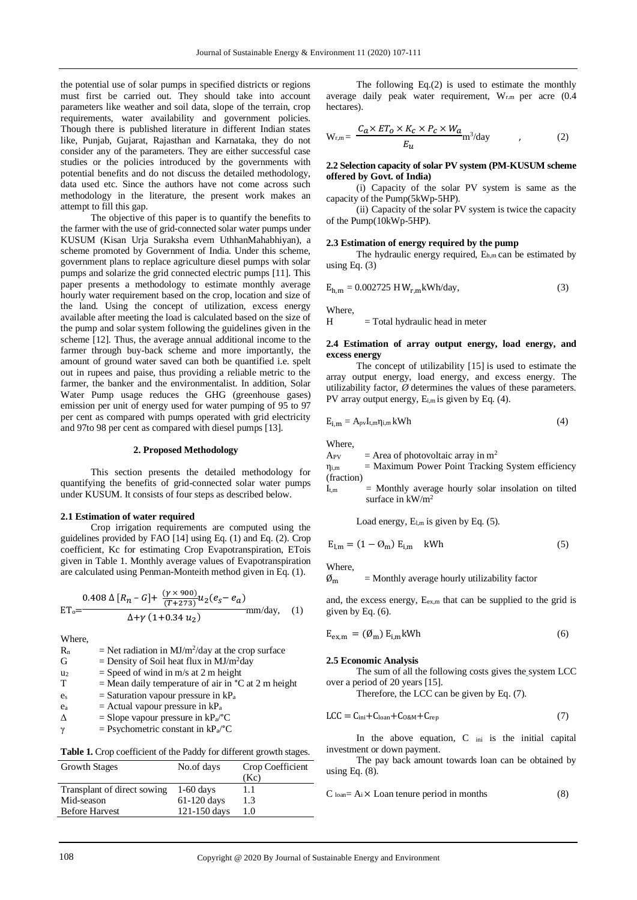the potential use of solar pumps in specified districts or regions must first be carried out. They should take into account parameters like weather and soil data, slope of the terrain, crop requirements, water availability and government policies. Though there is published literature in different Indian states like, Punjab, Gujarat, Rajasthan and Karnataka, they do not consider any of the parameters. They are either successful case studies or the policies introduced by the governments with potential benefits and do not discuss the detailed methodology, data used etc. Since the authors have not come across such methodology in the literature, the present work makes an attempt to fill this gap.

The objective of this paper is to quantify the benefits to the farmer with the use of grid-connected solar water pumps under KUSUM (Kisan Urja Suraksha evem UthhanMahabhiyan), a scheme promoted by Government of India. Under this scheme, government plans to replace agriculture diesel pumps with solar pumps and solarize the grid connected electric pumps [11]. This paper presents a methodology to estimate monthly average hourly water requirement based on the crop, location and size of the land. Using the concept of utilization, excess energy available after meeting the load is calculated based on the size of the pump and solar system following the guidelines given in the scheme [12]. Thus, the average annual additional income to the farmer through buy-back scheme and more importantly, the amount of ground water saved can both be quantified i.e. spelt out in rupees and paise, thus providing a reliable metric to the farmer, the banker and the environmentalist. In addition, Solar Water Pump usage reduces the GHG (greenhouse gases) emission per unit of energy used for water pumping of 95 to 97 per cent as compared with pumps operated with grid electricity and 97to 98 per cent as compared with diesel pumps [13].

# **2. Proposed Methodology**

This section presents the detailed methodology for quantifying the benefits of grid-connected solar water pumps under KUSUM. It consists of four steps as described below.

#### **2.1 Estimation of water required**

Crop irrigation requirements are computed using the guidelines provided by FAO [14] using Eq. (1) and Eq. (2). Crop coefficient, Kc for estimating Crop Evapotranspiration, ETois given in Table 1. Monthly average values of Evapotranspiration are calculated using Penman-Monteith method given in Eq. (1).

$$
ET_0 = \frac{0.408 \Delta [R_n - G] + \frac{(\gamma \times 900)}{(T + 273)} u_2 (e_S - e_a)}{\Delta + \gamma (1 + 0.34 u_2)} \text{mm/day}, \quad (1)
$$

Where,

- $R_n$  = Net radiation in MJ/m<sup>2</sup>/day at the crop surface G  $=$  Density of Soil heat flux in MJ/m<sup>2</sup>day  $u_2$  = Speed of wind in m/s at 2 m height  $T = Mean$  daily temperature of air in  $°C$  at 2 m height  $e_s$  = Saturation vapour pressure in  $kP_a$  $e_a$  = Actual vapour pressure in  $kP_a$  $\Delta$  = Slope vapour pressure in kP<sub>a</sub>/°C  $\gamma$  = Psychometric constant in kP<sub>a</sub>/<sup>°</sup>C
- 

Table 1. Crop coefficient of the Paddy for different growth stages.

| <b>Growth Stages</b>        | No.of days    | Crop Coefficient |
|-----------------------------|---------------|------------------|
|                             |               | (Kc)             |
| Transplant of direct sowing | $1-60$ days   | 1.1              |
| Mid-season                  | $61-120$ days | 1.3              |
| <b>Before Harvest</b>       | 121-150 days  | 1.0              |
|                             |               |                  |

The following Eq.(2) is used to estimate the monthly average daily peak water requirement, Wr.m per acre (0.4 hectares).

$$
W_{r,m} = \frac{C_a \times ET_0 \times K_c \times P_c \times W_a}{E_u} m^3 / day \qquad , \qquad (2)
$$

### **2.2 Selection capacity of solar PV system (PM-KUSUM scheme offered by Govt. of India)**

(i) Capacity of the solar PV system is same as the capacity of the Pump(5kWp-5HP)*.*

(ii) Capacity of the solar PV system is twice the capacity of the Pump(10kWp-5HP).

## **2.3 Estimation of energy required by the pump**

The hydraulic energy required,  $E_{h,m}$  can be estimated by using Eq. (3)

$$
E_{h,m} = 0.002725 \text{ H W}_{r,m} \text{kWh/day},\tag{3}
$$

Where,

 $H = Total hyd$ raulic head in meter

## **2.4 Estimation of array output energy, load energy, and excess energy**

The concept of utilizability [15] is used to estimate the array output energy, load energy, and excess energy. The utilizability factor, *Ø* determines the values of these parameters. PV array output energy,  $E_{i,m}$  is given by Eq. (4).

$$
E_{i,m} = A_{pv}I_{t,m}\eta_{i,m}kWh
$$
\n(4)

Where,

 $A_{PV}$  = Area of photovoltaic array in m<sup>2</sup>

 $\eta_{i,m}$  = Maximum Power Point Tracking System efficiency (fraction)

 $I_{t,m}$  = Monthly average hourly solar insolation on tilted surface in kW/m<sup>2</sup>

Load energy,  $E_{lm}$  is given by Eq. (5).

$$
E_{l,m} = (1 - \mathcal{O}_m) E_{i,m} \quad \text{kWh} \tag{5}
$$

Where,

 $\emptyset_m$  = Monthly average hourly utilizability factor

and, the excess energy, E<sub>ex,m</sub> that can be supplied to the grid is given by Eq. (6).

$$
E_{ex,m} = (\emptyset_m) E_{i,m} kWh
$$
 (6)

#### **2.5 Economic Analysis**

The sum of all the following costs gives the system LCC over a period of 20 years [15].

Therefore, the LCC can be given by Eq. (7).

$$
LCC = Cini + Cloan + C0&M + Crep
$$
 (7)

In the above equation, C ini is the initial capital investment or down payment.

The pay back amount towards loan can be obtained by using Eq.  $(8)$ .

$$
C_{\text{Ioan}} = A_i \times \text{Loan} \text{ tenure period in months} \tag{8}
$$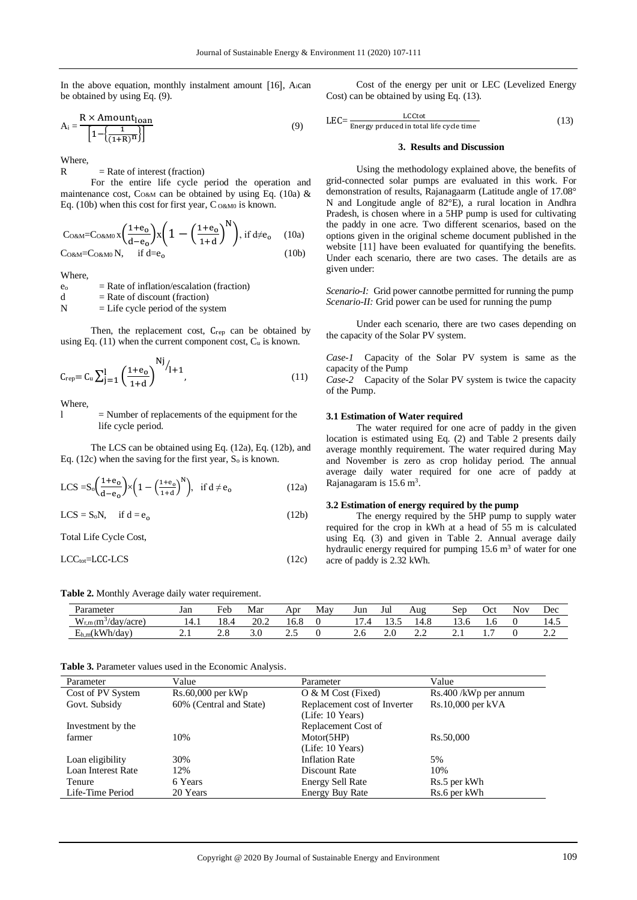In the above equation, monthly instalment amount  $[16]$ , A<sub>i</sub>can be obtained by using Eq. (9).

$$
A_i = \frac{R \times \text{Amount}_{\text{Ioan}}}{\left[1 - \left(\frac{1}{(1 + R)^H}\right)\right]}
$$
(9)

Where,

 $R =$ Rate of interest (fraction)

For the entire life cycle period the operation and maintenance cost,  $C<sub>O@M</sub>$  can be obtained by using Eq. (10a) & Eq. (10b) when this cost for first year,  $C_{0\&00}$  is known.

$$
\text{CORM=CORM0 x \left(\frac{1+e_0}{d-e_0}\right) x \left(1-\left(\frac{1+e_0}{1+d}\right)^N\right), \text{ if } d \neq e_0 \quad (10a)
$$
\n
$$
\text{CORM=CORM0 N, \quad \text{ if } d=e_0 \quad (10b)
$$

Where,

 $e_0$  = Rate of inflation/escalation (fraction)

 $d =$ Rate of discount (fraction)

 $N =$  Life cycle period of the system

Then, the replacement cost, C<sub>rep</sub> can be obtained by using Eq.  $(11)$  when the current component cost,  $C_u$  is known.

$$
C_{rep} = C_u \sum_{j=1}^{l} \left(\frac{1 + e_0}{1 + d}\right)^{Nj} / 1 + 1, \qquad (11)
$$

Where,

l = Number of replacements of the equipment for the life cycle period.

The LCS can be obtained using Eq. (12a), Eq. (12b), and Eq.  $(12c)$  when the saving for the first year,  $S_0$  is known.

$$
LCS = S_0 \left(\frac{1+e_0}{d-e_0}\right) \times \left(1 - \left(\frac{1+e_0}{1+d}\right)^N\right), \text{ if } d \neq e_0 \tag{12a}
$$

 $LCS = S_0N$ , if  $d = e_0$  (12b)

Total Life Cycle Cost,

 $LCC<sub>tot</sub>=LCC-LCS$  (12c)

Table 2. Monthly Average daily water requirement.

Cost of the energy per unit or LEC (Levelized Energy Cost) can be obtained by using Eq. (13).

$$
LEC = \frac{LCC \text{tot}}{\text{Energy produced in total life cycle time}} \tag{13}
$$

## **3. Results and Discussion**

Using the methodology explained above, the benefits of grid-connected solar pumps are evaluated in this work. For demonstration of results, Rajanagaarm (Latitude angle of 17.08° N and Longitude angle of 82°E), a rural location in Andhra Pradesh, is chosen where in a 5HP pump is used for cultivating the paddy in one acre. Two different scenarios, based on the options given in the original scheme document published in the website [11] have been evaluated for quantifying the benefits. Under each scenario, there are two cases. The details are as given under:

*Scenario-I:* Grid power cannotbe permitted for running the pump *Scenario-II:* Grid power can be used for running the pump

Under each scenario, there are two cases depending on the capacity of the Solar PV system.

*Case-1* Capacity of the Solar PV system is same as the capacity of the Pump

*Case-2* Capacity of the Solar PV system is twice the capacity of the Pump.

## **3.1 Estimation of Water required**

The water required for one acre of paddy in the given location is estimated using Eq. (2) and Table 2 presents daily average monthly requirement. The water required during May and November is zero as crop holiday period. The annual average daily water required for one acre of paddy at Rajanagaram is  $15.6 \text{ m}^3$ .

#### **3.2 Estimation of energy required by the pump**

The energy required by the 5HP pump to supply water required for the crop in kWh at a head of 55 m is calculated using Eq. (3) and given in Table 2. Annual average daily hydraulic energy required for pumping  $15.6 \text{ m}^3$  of water for one acre of paddy is 2.32 kWh.

| -                            | . .             |      |      |      |     |     |             |                             |            |     |            |          |
|------------------------------|-----------------|------|------|------|-----|-----|-------------|-----------------------------|------------|-----|------------|----------|
| Parameter                    | Jan             | Feb  | Mar  | Apr  | May | Jun | Jul         | Aug                         | ser        | Jet | <b>NOV</b> | Dec      |
| $W_{r,m}(m^3)$<br>/day/acre) | 14.1            | 18.4 | 20.2 | 16.8 |     |     | $\sim$<br>. | 14.8                        | 1 J . V    | 1.0 |            | 14.5     |
| $E_{h,m}(kWh/day)$           | $\sim$ . $\sim$ | ∠.∪  | J.v  | ن ک  |     | Z.U | ∠.∪         | $\sim$ $\sim$<br><u>_ _</u> | $\sim$ . 1 | . . |            | <u>.</u> |

**Table 3.** Parameter values used in the Economic Analysis.

| Parameter          | Value                   | Parameter                    | Value                |
|--------------------|-------------------------|------------------------------|----------------------|
| Cost of PV System  | $Rs.60,000$ per $kWp$   | $O & M$ Cost (Fixed)         | Rs.400/kWp per annum |
| Govt. Subsidy      | 60% (Central and State) | Replacement cost of Inverter | $Rs.10,000$ per kVA  |
|                    |                         | (Life: 10 Years)             |                      |
| Investment by the  |                         | Replacement Cost of          |                      |
| farmer             | 10%                     | Motor(5HP)                   | Rs.50,000            |
|                    |                         | (Life: 10 Years)             |                      |
| Loan eligibility   | 30%                     | <b>Inflation Rate</b>        | 5%                   |
| Loan Interest Rate | 12%                     | Discount Rate                | 10%                  |
| Tenure             | 6 Years                 | <b>Energy Sell Rate</b>      | Rs.5 per kWh         |
| Life-Time Period   | 20 Years                | <b>Energy Buy Rate</b>       | Rs.6 per kWh         |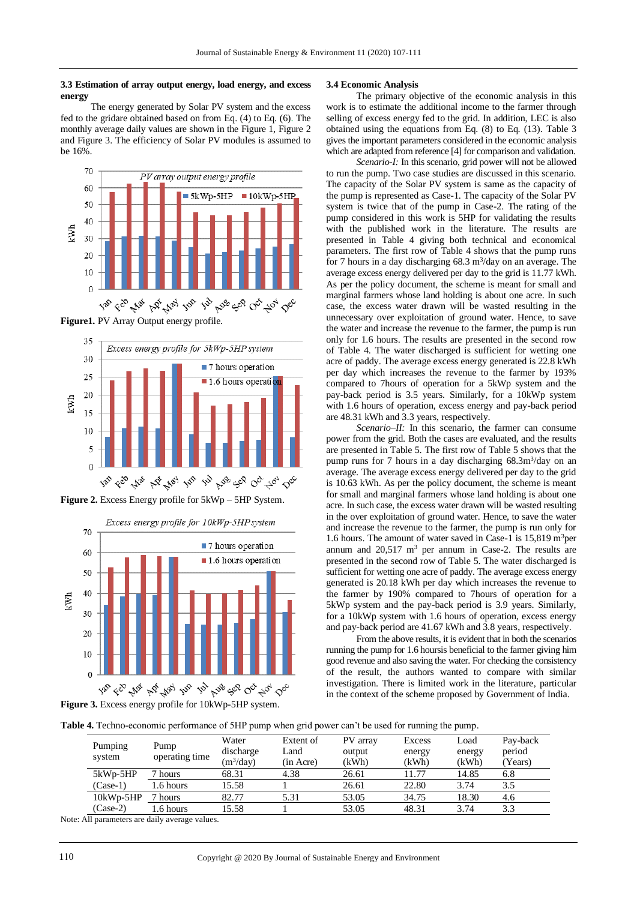#### **3.3 Estimation of array output energy, load energy, and excess energy**

The energy generated by Solar PV system and the excess fed to the gridare obtained based on from Eq. (4) to Eq. (6). The monthly average daily values are shown in the Figure 1, Figure 2 and Figure 3. The efficiency of Solar PV modules is assumed to be 16%.



**Figure1.** PV Array Output energy profile.



**Figure 2.** Excess Energy profile for 5kWp – 5HP System.



#### **3.4 Economic Analysis**

The primary objective of the economic analysis in this work is to estimate the additional income to the farmer through selling of excess energy fed to the grid. In addition, LEC is also obtained using the equations from Eq. (8) to Eq. (13). Table 3 gives the important parameters considered in the economic analysis which are adapted from reference [4] for comparison and validation.

*Scenario-I:* In this scenario, grid power will not be allowed to run the pump. Two case studies are discussed in this scenario. The capacity of the Solar PV system is same as the capacity of the pump is represented as Case-1. The capacity of the Solar PV system is twice that of the pump in Case-2. The rating of the pump considered in this work is 5HP for validating the results with the published work in the literature. The results are presented in Table 4 giving both technical and economical parameters. The first row of Table 4 shows that the pump runs for 7 hours in a day discharging  $68.3 \text{ m}^3/\text{day}$  on an average. The average excess energy delivered per day to the grid is 11.77 kWh. As per the policy document, the scheme is meant for small and marginal farmers whose land holding is about one acre. In such case, the excess water drawn will be wasted resulting in the unnecessary over exploitation of ground water. Hence, to save the water and increase the revenue to the farmer, the pump is run only for 1.6 hours. The results are presented in the second row of Table 4. The water discharged is sufficient for wetting one acre of paddy. The average excess energy generated is 22.8 kWh per day which increases the revenue to the farmer by 193% compared to 7hours of operation for a 5kWp system and the pay-back period is 3.5 years. Similarly, for a 10kWp system with 1.6 hours of operation, excess energy and pay-back period are 48.31 kWh and 3.3 years, respectively.

*Scenario–II:* In this scenario, the farmer can consume power from the grid. Both the cases are evaluated, and the results are presented in Table 5. The first row of Table 5 shows that the pump runs for 7 hours in a day discharging  $68.3 \text{m}^3/\text{day}$  on an average. The average excess energy delivered per day to the grid is 10.63 kWh. As per the policy document, the scheme is meant for small and marginal farmers whose land holding is about one acre. In such case, the excess water drawn will be wasted resulting in the over exploitation of ground water. Hence, to save the water and increase the revenue to the farmer, the pump is run only for 1.6 hours. The amount of water saved in Case-1 is  $15,819$  m<sup>3</sup>per annum and 20,517 m<sup>3</sup> per annum in Case-2. The results are presented in the second row of Table 5. The water discharged is sufficient for wetting one acre of paddy. The average excess energy generated is 20.18 kWh per day which increases the revenue to the farmer by 190% compared to 7hours of operation for a 5kWp system and the pay-back period is 3.9 years. Similarly, for a 10kWp system with 1.6 hours of operation, excess energy and pay-back period are 41.67 kWh and 3.8 years, respectively.

From the above results, it is evident that in both the scenarios running the pump for 1.6 hoursis beneficial to the farmer giving him good revenue and also saving the water. For checking the consistency of the result, the authors wanted to compare with similar investigation. There is limited work in the literature, particular in the context of the scheme proposed by Government of India.

**Table 4.** Techno-economic performance of 5HP pump when grid power can't be used for running the pump.

| Pumping     | Pump           | Water       | Extent of | PV array | Excess | Load   | Pay-back |
|-------------|----------------|-------------|-----------|----------|--------|--------|----------|
|             |                | discharge   | Land      | output   | energy | energy | period   |
| system      | operating time | $(m^3/day)$ | (in Acre) | (kWh)    | (kWh)  | (kWh)  | (Years)  |
| 5kWp-5HP    | 7 hours        | 68.31       | 4.38      | 26.61    | 11.77  | 14.85  | 6.8      |
| $(Case-1)$  | 1.6 hours      | 15.58       |           | 26.61    | 22.80  | 3.74   | 3.5      |
| $10kWp-5HP$ | hours          | 82.77       | 5.31      | 53.05    | 34.75  | 18.30  | 4.6      |
| $(Case-2)$  | 1.6 hours      | 15.58       |           | 53.05    | 48.31  | 3.74   | 3.3      |
| 1.11        | 1.1            |             |           |          |        |        |          |

Note: All parameters are daily average values.